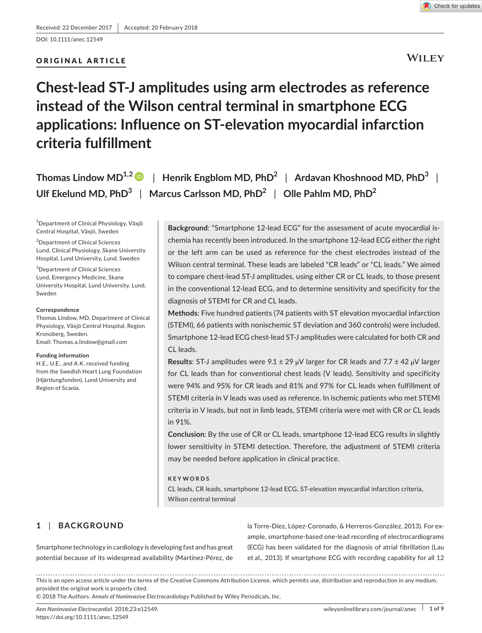DOI: 10.1111/anec.12549

# ORIGINAL ARTICLE



**WILEY** 

# **Chest-lead ST-J amplitudes using arm electrodes as reference instead of the Wilson central terminal in smartphone ECG applications: Influence on ST-elevation myocardial infarction criteria fulfillment**

**Thomas Lindow MD1,[2](http://orcid.org/0000-0002-2943-0034)** | **Henrik Engblom MD, PhD<sup>2</sup>** | **Ardavan Khoshnood MD, PhD<sup>3</sup>** | **Ulf Ekelund MD, PhD<sup>3</sup>** | **Marcus Carlsson MD, PhD<sup>2</sup>** | **Olle Pahlm MD, PhD<sup>2</sup>**

1 Department of Clinical Physiology, Växjö Central Hospital, Växjö, Sweden

2 Department of Clinical Sciences Lund, Clinical Physiology, Skane University Hospital, Lund University, Lund, Sweden

3 Department of Clinical Sciences Lund, Emergency Medicine, Skane University Hospital, Lund University, Lund, Sweden

#### **Correspondence**

Thomas Lindow, MD, Department of Clinical Physiology, Växjö Central Hospital, Region Kronoberg, Sweden. Email: [Thomas.a.lindow@gmail.com](mailto:Thomas.a.lindow@gmail.com)

## **Funding information**

H.E., U.E., and A.K. received funding from the Swedish Heart Lung Foundation (Hjärtlungfonden), Lund University and Region of Scania.

**Background**: "Smartphone 12-lead ECG" for the assessment of acute myocardial ischemia has recently been introduced. In the smartphone 12-lead ECG either the right or the left arm can be used as reference for the chest electrodes instead of the Wilson central terminal. These leads are labeled "CR leads" or "CL leads." We aimed to compare chest-lead ST-J amplitudes, using either CR or CL leads, to those present in the conventional 12-lead ECG, and to determine sensitivity and specificity for the diagnosis of STEMI for CR and CL leads.

**Methods**: Five hundred patients (74 patients with ST elevation myocardial infarction (STEMI), 66 patients with nonischemic ST deviation and 360 controls) were included. Smartphone 12-lead ECG chest-lead ST-J amplitudes were calculated for both CR and CL leads.

**Results**: ST-J amplitudes were 9.1 ± 29 μV larger for CR leads and 7.7 ± 42 μV larger for CL leads than for conventional chest leads (V leads). Sensitivity and specificity were 94% and 95% for CR leads and 81% and 97% for CL leads when fulfillment of STEMI criteria in V leads was used as reference. In ischemic patients who met STEMI criteria in V leads, but not in limb leads, STEMI criteria were met with CR or CL leads in 91%.

**Conclusion**: By the use of CR or CL leads, smartphone 12-lead ECG results in slightly lower sensitivity in STEMI detection. Therefore, the adjustment of STEMI criteria may be needed before application in clinical practice.

## **KEYWORDS**

CL leads, CR leads, smartphone 12-lead ECG, ST-elevation myocardial infarction criteria, Wilson central terminal

# **1** | **BACKGROUND**

Smartphone technology in cardiology is developing fast and has great potential because of its widespread availability (Martínez-Pérez, de

la Torre-Díez, López-Coronado, & Herreros-González, 2013). For example, smartphone-based one-lead recording of electrocardiograms (ECG) has been validated for the diagnosis of atrial fibrillation (Lau et al., 2013). If smartphone ECG with recording capability for all 12

This is an open access article under the terms of the [Creative Commons Attribution](http://creativecommons.org/licenses/by/4.0/) License, which permits use, distribution and reproduction in any medium, provided the original work is properly cited.

© 2018 The Authors. *Annals of Noninvasive Electrocardiology* Published by Wiley Periodicals, Inc.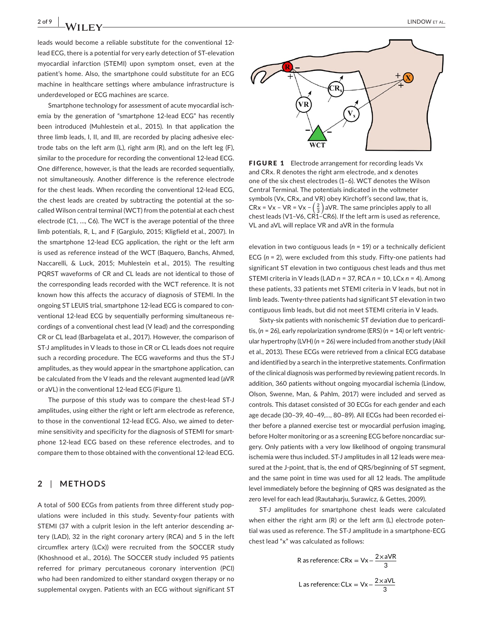**2 of 9 |**  LINDOW et al.

leads would become a reliable substitute for the conventional 12 lead ECG, there is a potential for very early detection of ST-elevation myocardial infarction (STEMI) upon symptom onset, even at the patient's home. Also, the smartphone could substitute for an ECG machine in healthcare settings where ambulance infrastructure is underdeveloped or ECG machines are scarce.

Smartphone technology for assessment of acute myocardial ischemia by the generation of "smartphone 12-lead ECG" has recently been introduced (Muhlestein et al., 2015). In that application the three limb leads, I, II, and III, are recorded by placing adhesive electrode tabs on the left arm (L), right arm (R), and on the left leg (F), similar to the procedure for recording the conventional 12-lead ECG. One difference, however, is that the leads are recorded sequentially, not simultaneously. Another difference is the reference electrode for the chest leads. When recording the conventional 12-lead ECG, the chest leads are created by subtracting the potential at the socalled Wilson central terminal (WCT) from the potential at each chest electrode (C1, …, C6). The WCT is the average potential of the three limb potentials, R, L, and F (Gargiulo, 2015; Kligfield et al., 2007). In the smartphone 12-lead ECG application, the right or the left arm is used as reference instead of the WCT (Baquero, Banchs, Ahmed, Naccarelli, & Luck, 2015; Muhlestein et al., 2015). The resulting PQRST waveforms of CR and CL leads are not identical to those of the corresponding leads recorded with the WCT reference. It is not known how this affects the accuracy of diagnosis of STEMI. In the ongoing ST LEUIS trial, smartphone 12-lead ECG is compared to conventional 12-lead ECG by sequentially performing simultaneous recordings of a conventional chest lead (V lead) and the corresponding CR or CL lead (Barbagelata et al., 2017). However, the comparison of ST-J amplitudes in V leads to those in CR or CL leads does not require such a recording procedure. The ECG waveforms and thus the ST-J amplitudes, as they would appear in the smartphone application, can be calculated from the V leads and the relevant augmented lead (aVR or aVL) in the conventional 12-lead ECG (Figure 1).

The purpose of this study was to compare the chest-lead ST-J amplitudes, using either the right or left arm electrode as reference, to those in the conventional 12-lead ECG. Also, we aimed to determine sensitivity and specificity for the diagnosis of STEMI for smartphone 12-lead ECG based on these reference electrodes, and to compare them to those obtained with the conventional 12-lead ECG.

## **2** | **METHODS**

A total of 500 ECGs from patients from three different study populations were included in this study. Seventy-four patients with STEMI (37 with a culprit lesion in the left anterior descending artery (LAD), 32 in the right coronary artery (RCA) and 5 in the left circumflex artery (LCx)) were recruited from the SOCCER study (Khoshnood et al., 2016). The SOCCER study included 95 patients referred for primary percutaneous coronary intervention (PCI) who had been randomized to either standard oxygen therapy or no supplemental oxygen. Patients with an ECG without significant ST



FIGURE 1 Electrode arrangement for recording leads Vx and CRx. R denotes the right arm electrode, and x denotes one of the six chest electrodes (1–6). WCT denotes the Wilson Central Terminal. The potentials indicated in the voltmeter symbols (Vx, CRx, and VR) obey Kirchoff′s second law, that is, CRx = Vx – VR = Vx –  $\left(\frac{2}{3}\right)$  aVR. The same principles apply to all chest leads (V1-V6,  $CR\check{1}-CR6$ ). If the left arm is used as reference, VL and aVL will replace VR and aVR in the formula

elevation in two contiguous leads (*n* = 19) or a technically deficient ECG (*n* = 2), were excluded from this study. Fifty-one patients had significant ST elevation in two contiguous chest leads and thus met STEMI criteria in V leads (LAD *n* = 37, RCA *n* = 10, LCx *n* = 4). Among these patients, 33 patients met STEMI criteria in V leads, but not in limb leads. Twenty-three patients had significant ST elevation in two contiguous limb leads, but did not meet STEMI criteria in V leads.

Sixty-six patients with nonischemic ST deviation due to pericarditis, (*n* = 26), early repolarization syndrome (ERS) (*n* = 14) or left ventricular hypertrophy (LVH) (*n* = 26) were included from another study (Akil et al., 2013). These ECGs were retrieved from a clinical ECG database and identified by a search in the interpretive statements. Confirmation of the clinical diagnosis was performed by reviewing patient records. In addition, 360 patients without ongoing myocardial ischemia (Lindow, Olson, Swenne, Man, & Pahlm, 2017) were included and served as controls. This dataset consisted of 30 ECGs for each gender and each age decade (30–39, 40–49,…, 80–89). All ECGs had been recorded either before a planned exercise test or myocardial perfusion imaging, before Holter monitoring or as a screening ECG before noncardiac surgery. Only patients with a very low likelihood of ongoing transmural ischemia were thus included. ST-J amplitudes in all 12 leads were measured at the J-point, that is, the end of QRS/beginning of ST segment, and the same point in time was used for all 12 leads. The amplitude level immediately before the beginning of QRS was designated as the zero level for each lead (Rautaharju, Surawicz, & Gettes, 2009).

ST-J amplitudes for smartphone chest leads were calculated when either the right arm (R) or the left arm (L) electrode potential was used as reference. The ST-J amplitude in a smartphone-ECG chest lead "x" was calculated as follows:

R as reference: CRx = 
$$
Vx - \frac{2 \times aVR}{3}
$$
  
L as reference: CLx =  $Vx - \frac{2 \times aVL}{3}$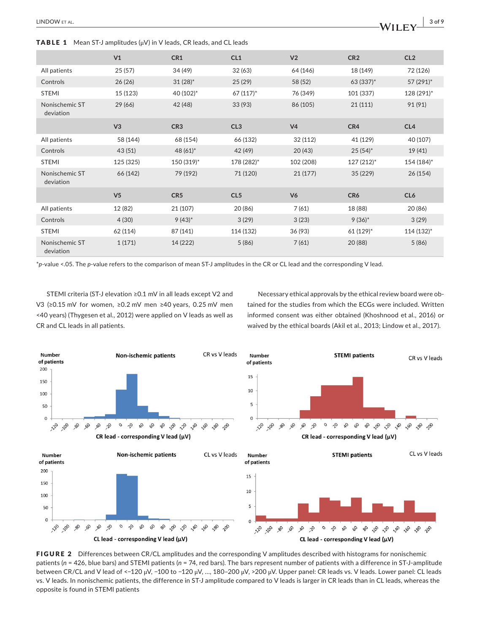**TABLE 1** Mean ST-J amplitudes  $(\mu V)$  in V leads, CR leads, and CL leads

|                             | V <sub>1</sub> | CR1                    | CL1             | V <sub>2</sub> | CR <sub>2</sub> | CL <sub>2</sub> |
|-----------------------------|----------------|------------------------|-----------------|----------------|-----------------|-----------------|
| All patients                | 25(57)         | 34 (49)                | 32(63)          | 64 (146)       | 18 (149)        | 72 (126)        |
| Controls                    | 26(26)         | $31(28)^*$             | 25(29)          | 58 (52)        | 63 (337)*       | 57 (291)*       |
| <b>STEMI</b>                | 15 (123)       | 40 (102)*              | $67(117)^*$     | 76 (349)       | 101 (337)       | 128 (291)*      |
| Nonischemic ST<br>deviation | 29(66)         | 42 (48)                | 33(93)          | 86 (105)       | 21(111)         | 91 (91)         |
|                             | V3             | CR <sub>3</sub>        | CL3             | V <sub>4</sub> | CR4             | CL4             |
| All patients                | 58 (144)       | 68 (154)               | 66 (132)        | 32 (112)       | 41 (129)        | 40 (107)        |
| Controls                    | 43 (51)        | 48 $(61)$ <sup>*</sup> | 42 (49)         | 20(43)         | $25(54)^*$      | 19(41)          |
| <b>STEMI</b>                | 125 (325)      | 150 (319)*             | 178 (282)*      | 102 (208)      | 127 (212)*      | 154 (184)*      |
| Nonischemic ST<br>deviation | 66 (142)       | 79 (192)               | 71 (120)        | 21(177)        | 35 (229)        | 26(154)         |
|                             | V <sub>5</sub> | CR <sub>5</sub>        | CL <sub>5</sub> | V <sub>6</sub> | CR6             | CL <sub>6</sub> |
| All patients                | 12 (82)        | 21 (107)               | 20 (86)         | 7(61)          | 18 (88)         | 20 (86)         |
| Controls                    | 4(30)          | $9(43)*$               | 3(29)           | 3(23)          | $9(36)*$        | 3(29)           |
| <b>STEMI</b>                | 62 (114)       | 87 (141)               | 114 (132)       | 36 (93)        | 61 (129)*       | 114 (132)*      |
| Nonischemic ST<br>deviation | 1(171)         | 14 (222)               | 5(86)           | 7(61)          | 20 (88)         | 5(86)           |

\**p*-value <.05. The *p*-value refers to the comparison of mean ST-J amplitudes in the CR or CL lead and the corresponding V lead.

STEMI criteria (ST-J elevation ≥0.1 mV in all leads except V2 and V3 (≥0.15 mV for women, ≥0.2 mV men ≥40 years, 0.25 mV men <40 years) (Thygesen et al., 2012) were applied on V leads as well as CR and CL leads in all patients.

Necessary ethical approvals by the ethical review board were obtained for the studies from which the ECGs were included. Written informed consent was either obtained (Khoshnood et al., 2016) or waived by the ethical boards (Akil et al., 2013; Lindow et al., 2017).



FIGURE 2 Differences between CR/CL amplitudes and the corresponding V amplitudes described with histograms for nonischemic patients (*n* = 426, blue bars) and STEMI patients (*n* = 74, red bars). The bars represent number of patients with a difference in ST-J-amplitude between CR/CL and V lead of <−120 μV, −100 to −120 μV, …, 180–200 μV, >200 μV. Upper panel: CR leads vs. V leads. Lower panel: CL leads vs. V leads. In nonischemic patients, the difference in ST-J amplitude compared to V leads is larger in CR leads than in CL leads, whereas the opposite is found in STEMI patients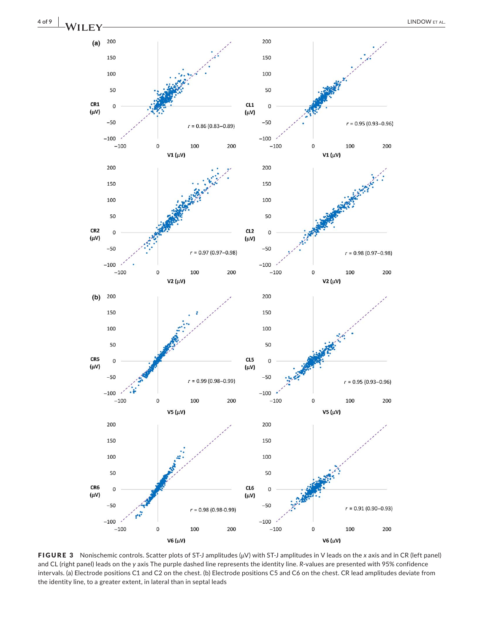

FIGURE 3 Nonischemic controls. Scatter plots of ST-J amplitudes (μV) with ST-J amplitudes in V leads on the *x* axis and in CR (left panel) and CL (right panel) leads on the *y* axis The purple dashed line represents the identity line. *R*-values are presented with 95% confidence intervals. (a) Electrode positions C1 and C2 on the chest. (b) Electrode positions C5 and C6 on the chest. CR lead amplitudes deviate from the identity line, to a greater extent, in lateral than in septal leads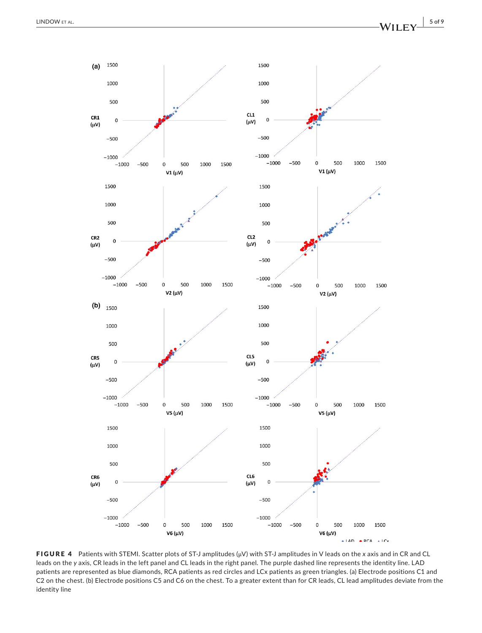

FIGURE 4 Patients with STEMI. Scatter plots of ST-J amplitudes (μV) with ST-J amplitudes in V leads on the *x* axis and in CR and CL leads on the *y* axis, CR leads in the left panel and CL leads in the right panel. The purple dashed line represents the identity line. LAD patients are represented as blue diamonds, RCA patients as red circles and LCx patients as green triangles. (a) Electrode positions C1 and C2 on the chest. (b) Electrode positions C5 and C6 on the chest. To a greater extent than for CR leads, CL lead amplitudes deviate from the identity line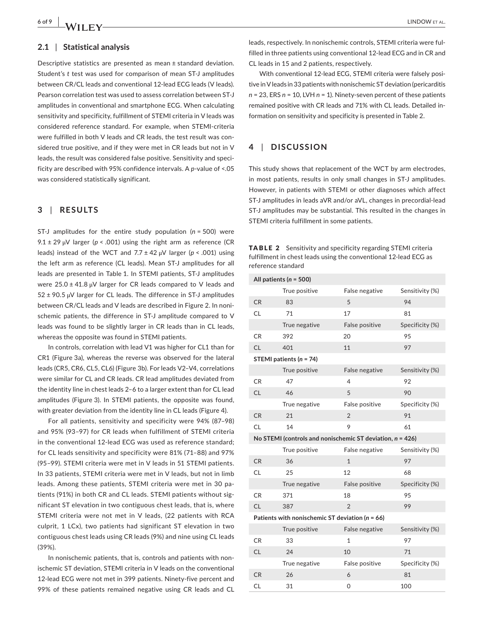## **2.1** | **Statistical analysis**

Descriptive statistics are presented as mean ± standard deviation. Student's *t* test was used for comparison of mean ST-J amplitudes between CR/CL leads and conventional 12-lead ECG leads (V leads). Pearson correlation test was used to assess correlation between ST-J amplitudes in conventional and smartphone ECG. When calculating sensitivity and specificity, fulfillment of STEMI criteria in V leads was considered reference standard. For example, when STEMI-criteria were fulfilled in both V leads and CR leads, the test result was considered true positive, and if they were met in CR leads but not in V leads, the result was considered false positive. Sensitivity and specificity are described with 95% confidence intervals. A *p*-value of <.05 was considered statistically significant.

## **3** | **RESULTS**

ST-J amplitudes for the entire study population (*n* = 500) were 9.1 ± 29 μV larger (*p* < .001) using the right arm as reference (CR leads) instead of the WCT and 7.7 ± 42 μV larger (*p* < .001) using the left arm as reference (CL leads). Mean ST-J amplitudes for all leads are presented in Table 1. In STEMI patients, ST-J amplitudes were  $25.0 \pm 41.8 \,\mu\text{V}$  larger for CR leads compared to V leads and 52 ± 90.5 μV larger for CL leads. The difference in ST-J amplitudes between CR/CL leads and V leads are described in Figure 2. In nonischemic patients, the difference in ST-J amplitude compared to V leads was found to be slightly larger in CR leads than in CL leads, whereas the opposite was found in STEMI patients.

In controls, correlation with lead V1 was higher for CL1 than for CR1 (Figure 3a), whereas the reverse was observed for the lateral leads (CR5, CR6, CL5, CL6) (Figure 3b). For leads V2–V4, correlations were similar for CL and CR leads. CR lead amplitudes deviated from the identity line in chest leads 2–6 to a larger extent than for CL lead amplitudes (Figure 3). In STEMI patients, the opposite was found, with greater deviation from the identity line in CL leads (Figure 4).

For all patients, sensitivity and specificity were 94% (87–98) and 95% (93–97) for CR leads when fulfillment of STEMI criteria in the conventional 12-lead ECG was used as reference standard; for CL leads sensitivity and specificity were 81% (71–88) and 97% (95–99). STEMI criteria were met in V leads in 51 STEMI patients. In 33 patients, STEMI criteria were met in V leads, but not in limb leads. Among these patients, STEMI criteria were met in 30 patients (91%) in both CR and CL leads. STEMI patients without significant ST elevation in two contiguous chest leads, that is, where STEMI criteria were not met in V leads, (22 patients with RCA culprit, 1 LCx), two patients had significant ST elevation in two contiguous chest leads using CR leads (9%) and nine using CL leads (39%).

In nonischemic patients, that is, controls and patients with nonischemic ST deviation, STEMI criteria in V leads on the conventional 12-lead ECG were not met in 399 patients. Ninety-five percent and 99% of these patients remained negative using CR leads and CL leads, respectively. In nonischemic controls, STEMI criteria were fulfilled in three patients using conventional 12-lead ECG and in CR and CL leads in 15 and 2 patients, respectively.

With conventional 12-lead ECG, STEMI criteria were falsely positive in V leads in 33 patients with nonischemic ST deviation (pericarditis *n* = 23, ERS *n* = 10, LVH *n* = 1). Ninety-seven percent of these patients remained positive with CR leads and 71% with CL leads. Detailed information on sensitivity and specificity is presented in Table 2.

## **4** | **DISCUSSION**

This study shows that replacement of the WCT by arm electrodes, in most patients, results in only small changes in ST-J amplitudes. However, in patients with STEMI or other diagnoses which affect ST-J amplitudes in leads aVR and/or aVL, changes in precordial-lead ST-J amplitudes may be substantial. This resulted in the changes in STEMI criteria fulfillment in some patients.

|                    | <b>TABLE 2</b> Sensitivity and specificity regarding STEMI criteria |
|--------------------|---------------------------------------------------------------------|
|                    | fulfillment in chest leads using the conventional 12-lead ECG as    |
| reference standard |                                                                     |

| All patients ( $n = 500$ )                                   |               |                |                 |  |  |  |  |
|--------------------------------------------------------------|---------------|----------------|-----------------|--|--|--|--|
|                                                              | True positive | False negative | Sensitivity (%) |  |  |  |  |
| <b>CR</b>                                                    | 83            | 5              | 94              |  |  |  |  |
| <b>CL</b>                                                    | 71            | 17             | 81              |  |  |  |  |
|                                                              | True negative | False positive | Specificity (%) |  |  |  |  |
| CR                                                           | 392           | 20             | 95              |  |  |  |  |
| <b>CL</b>                                                    | 401           | 11             | 97              |  |  |  |  |
| STEMI patients ( $n = 74$ )                                  |               |                |                 |  |  |  |  |
|                                                              | True positive | False negative | Sensitivity (%) |  |  |  |  |
| CR                                                           | 47            | 4              | 92              |  |  |  |  |
| <b>CL</b>                                                    | 46            | 5              | 90              |  |  |  |  |
|                                                              | True negative | False positive | Specificity (%) |  |  |  |  |
| <b>CR</b>                                                    | 21            | $\overline{2}$ | 91              |  |  |  |  |
| <b>CL</b>                                                    | 14            | 9              | 61              |  |  |  |  |
| No STEMI (controls and nonischemic ST deviation, $n = 426$ ) |               |                |                 |  |  |  |  |
|                                                              | True positive | False negative | Sensitivity (%) |  |  |  |  |
| <b>CR</b>                                                    | 36            | $\mathbf{1}$   | 97              |  |  |  |  |
| <b>CL</b>                                                    | 25            | 12             | 68              |  |  |  |  |
|                                                              | True negative | False positive | Specificity (%) |  |  |  |  |
| CR                                                           | 371           | 18             | 95              |  |  |  |  |
| <b>CL</b>                                                    | 387           | $\overline{2}$ | 99              |  |  |  |  |
| Patients with nonischemic ST deviation ( $n = 66$ )          |               |                |                 |  |  |  |  |
|                                                              | True positive | False negative | Sensitivity (%) |  |  |  |  |
| CR                                                           | 33            | 1              | 97              |  |  |  |  |
| <b>CL</b>                                                    | 24            | 10             | 71              |  |  |  |  |
|                                                              | True negative | False positive | Specificity (%) |  |  |  |  |
| <b>CR</b>                                                    | 26            | 6              | 81              |  |  |  |  |
| CL                                                           | 31            | 0              | 100             |  |  |  |  |
|                                                              |               |                |                 |  |  |  |  |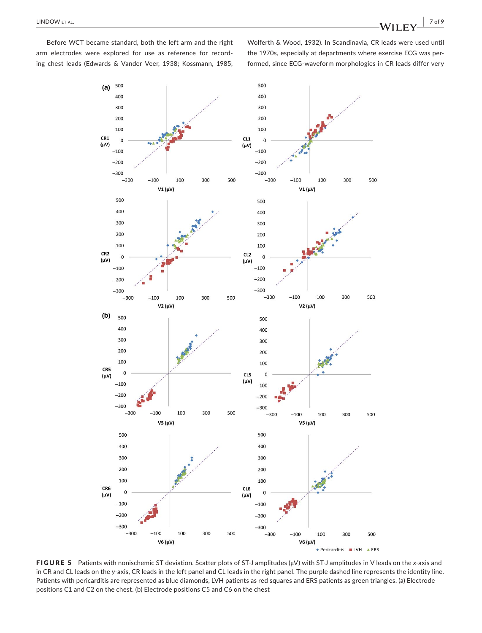Before WCT became standard, both the left arm and the right arm electrodes were explored for use as reference for recording chest leads (Edwards & Vander Veer, 1938; Kossmann, 1985; Wolferth & Wood, 1932). In Scandinavia, CR leads were used until the 1970s, especially at departments where exercise ECG was performed, since ECG-waveform morphologies in CR leads differ very



FIGURE 5 Patients with nonischemic ST deviation. Scatter plots of ST-J amplitudes (μV) with ST-J amplitudes in V leads on the *x*-axis and in CR and CL leads on the *y*-axis, CR leads in the left panel and CL leads in the right panel. The purple dashed line represents the identity line. Patients with pericarditis are represented as blue diamonds, LVH patients as red squares and ERS patients as green triangles. (a) Electrode positions C1 and C2 on the chest. (b) Electrode positions C5 and C6 on the chest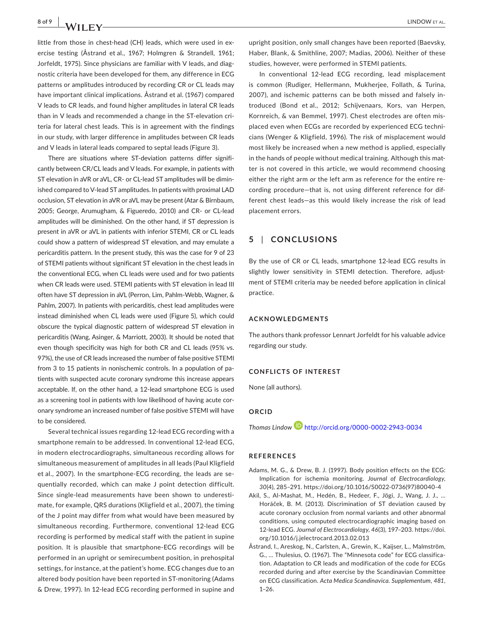little from those in chest-head (CH) leads, which were used in exercise testing (Åstrand et al., 1967; Holmgren & Strandell, 1961; Jorfeldt, 1975). Since physicians are familiar with V leads, and diagnostic criteria have been developed for them, any difference in ECG patterns or amplitudes introduced by recording CR or CL leads may have important clinical implications. Åstrand et al. (1967) compared V leads to CR leads, and found higher amplitudes in lateral CR leads than in V leads and recommended a change in the ST-elevation criteria for lateral chest leads. This is in agreement with the findings in our study, with larger difference in amplitudes between CR leads and V leads in lateral leads compared to septal leads (Figure 3).

There are situations where ST-deviation patterns differ significantly between CR/CL leads and V leads. For example, in patients with ST elevation in aVR or aVL, CR- or CL-lead ST amplitudes will be diminished compared to V-lead ST amplitudes. In patients with proximal LAD occlusion, ST elevation in aVR or aVL may be present (Atar & Birnbaum, 2005; George, Arumugham, & Figueredo, 2010) and CR- or CL-lead amplitudes will be diminished. On the other hand, if ST depression is present in aVR or aVL in patients with inferior STEMI, CR or CL leads could show a pattern of widespread ST elevation, and may emulate a pericarditis pattern. In the present study, this was the case for 9 of 23 of STEMI patients without significant ST elevation in the chest leads in the conventional ECG, when CL leads were used and for two patients when CR leads were used. STEMI patients with ST elevation in lead III often have ST depression in aVL (Perron, Lim, Pahlm-Webb, Wagner, & Pahlm, 2007). In patients with pericarditis, chest lead amplitudes were instead diminished when CL leads were used (Figure 5), which could obscure the typical diagnostic pattern of widespread ST elevation in pericarditis (Wang, Asinger, & Marriott, 2003). It should be noted that even though specificity was high for both CR and CL leads (95% vs. 97%), the use of CR leads increased the number of false positive STEMI from 3 to 15 patients in nonischemic controls. In a population of patients with suspected acute coronary syndrome this increase appears acceptable. If, on the other hand, a 12-lead smartphone ECG is used as a screening tool in patients with low likelihood of having acute coronary syndrome an increased number of false positive STEMI will have to be considered.

Several technical issues regarding 12-lead ECG recording with a smartphone remain to be addressed. In conventional 12-lead ECG, in modern electrocardiographs, simultaneous recording allows for simultaneous measurement of amplitudes in all leads (Paul Kligfield et al., 2007). In the smartphone-ECG recording, the leads are sequentially recorded, which can make J point detection difficult. Since single-lead measurements have been shown to underestimate, for example, QRS durations (Kligfield et al., 2007), the timing of the J point may differ from what would have been measured by simultaneous recording. Furthermore, conventional 12-lead ECG recording is performed by medical staff with the patient in supine position. It is plausible that smartphone-ECG recordings will be performed in an upright or semirecumbent position, in prehospital settings, for instance, at the patient's home. ECG changes due to an altered body position have been reported in ST-monitoring (Adams & Drew, 1997). In 12-lead ECG recording performed in supine and

upright position, only small changes have been reported (Baevsky, Haber, Blank, & Smithline, 2007; Madias, 2006). Neither of these studies, however, were performed in STEMI patients.

In conventional 12-lead ECG recording, lead misplacement is common (Rudiger, Hellermann, Mukherjee, Follath, & Turina, 2007), and ischemic patterns can be both missed and falsely introduced (Bond et al., 2012; Schijvenaars, Kors, van Herpen, Kornreich, & van Bemmel, 1997). Chest electrodes are often misplaced even when ECGs are recorded by experienced ECG technicians (Wenger & Kligfield, 1996). The risk of misplacement would most likely be increased when a new method is applied, especially in the hands of people without medical training. Although this matter is not covered in this article, we would recommend choosing either the right arm *or* the left arm as reference for the entire recording procedure—that is, not using different reference for different chest leads—as this would likely increase the risk of lead placement errors.

# **5** | **CONCLUSIONS**

By the use of CR or CL leads, smartphone 12-lead ECG results in slightly lower sensitivity in STEMI detection. Therefore, adjustment of STEMI criteria may be needed before application in clinical practice.

#### **ACKNOWLEDGMENTS**

The authors thank professor Lennart Jorfeldt for his valuable advice regarding our study.

#### **CONFLICTS OF INTEREST**

None (all authors).

## **ORCID**

*Thomas Lindow* <http://orcid.org/0000-0002-2943-0034>

#### **REFERENCES**

- Adams, M. G., & Drew, B. J. (1997). Body position effects on the ECG: Implication for ischemia monitoring. *Journal of Electrocardiology*, *30*(4), 285–291. [https://doi.org/10.1016/S0022-0736\(97\)80040-4](https://doi.org/10.1016/S0022-0736(97)80040-4)
- Akil, S., Al-Mashat, M., Hedén, B., Hedeer, F., Jögi, J., Wang, J. J., … Horáček, B. M. (2013). Discrimination of ST deviation caused by acute coronary occlusion from normal variants and other abnormal conditions, using computed electrocardiographic imaging based on 12-lead ECG. *Journal of Electrocardiology*, *46*(3), 197–203. [https://doi.](https://doi.org/10.1016/j.jelectrocard.2013.02.013) [org/10.1016/j.jelectrocard.2013.02.013](https://doi.org/10.1016/j.jelectrocard.2013.02.013)
- Åstrand, I., Areskog, N., Carlsten, A., Grewin, K., Kaijser, L., Malmström, G., … Thulesius, O. (1967). The "Minnesota code" for ECG classification. Adaptation to CR leads and modification of the code for ECGs recorded during and after exercise by the Scandinavian Committee on ECG classification. *Acta Medica Scandinavica. Supplementum*, *481*, 1–26.